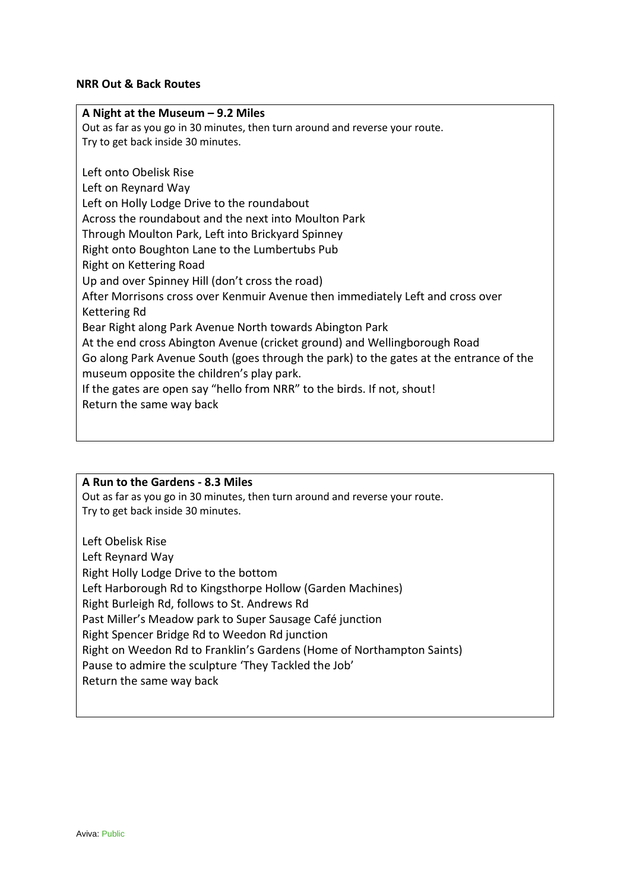## **NRR Out & Back Routes**

| A Night at the Museum $-9.2$ Miles                                                     |
|----------------------------------------------------------------------------------------|
| Out as far as you go in 30 minutes, then turn around and reverse your route.           |
| Try to get back inside 30 minutes.                                                     |
|                                                                                        |
| Left onto Obelisk Rise                                                                 |
| Left on Reynard Way                                                                    |
| Left on Holly Lodge Drive to the roundabout                                            |
| Across the roundabout and the next into Moulton Park                                   |
| Through Moulton Park, Left into Brickyard Spinney                                      |
| Right onto Boughton Lane to the Lumbertubs Pub                                         |
| Right on Kettering Road                                                                |
| Up and over Spinney Hill (don't cross the road)                                        |
| After Morrisons cross over Kenmuir Avenue then immediately Left and cross over         |
| Kettering Rd                                                                           |
| Bear Right along Park Avenue North towards Abington Park                               |
| At the end cross Abington Avenue (cricket ground) and Wellingborough Road              |
| Go along Park Avenue South (goes through the park) to the gates at the entrance of the |
| museum opposite the children's play park.                                              |
| If the gates are open say "hello from NRR" to the birds. If not, shout!                |
| Return the same way back                                                               |
|                                                                                        |

## **A Run to the Gardens - 8.3 Miles**

Out as far as you go in 30 minutes, then turn around and reverse your route. Try to get back inside 30 minutes.

Left Obelisk Rise Left Reynard Way Right Holly Lodge Drive to the bottom Left Harborough Rd to Kingsthorpe Hollow (Garden Machines) Right Burleigh Rd, follows to St. Andrews Rd Past Miller's Meadow park to Super Sausage Café junction Right Spencer Bridge Rd to Weedon Rd junction Right on Weedon Rd to Franklin's Gardens (Home of Northampton Saints) Pause to admire the sculpture 'They Tackled the Job' Return the same way back